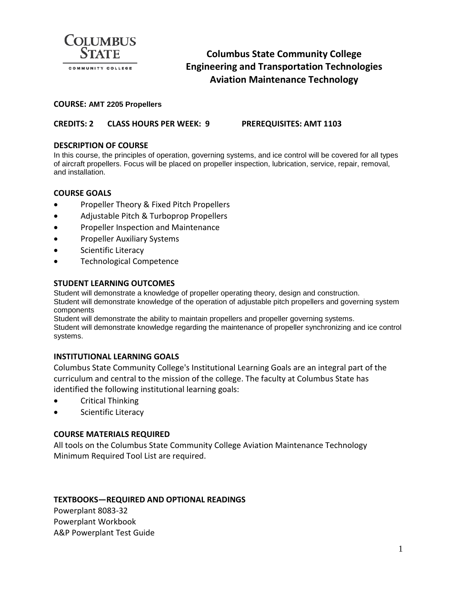

# **Columbus State Community College Engineering and Transportation Technologies Aviation Maintenance Technology**

#### **COURSE: AMT 2205 Propellers**

## **CREDITS: 2 CLASS HOURS PER WEEK: 9 PREREQUISITES: AMT 1103**

### **DESCRIPTION OF COURSE**

In this course, the principles of operation, governing systems, and ice control will be covered for all types of aircraft propellers. Focus will be placed on propeller inspection, lubrication, service, repair, removal, and installation.

### **COURSE GOALS**

- Propeller Theory & Fixed Pitch Propellers
- Adjustable Pitch & Turboprop Propellers
- Propeller Inspection and Maintenance
- Propeller Auxiliary Systems
- Scientific Literacy
- Technological Competence

#### **STUDENT LEARNING OUTCOMES**

Student will demonstrate a knowledge of propeller operating theory, design and construction. Student will demonstrate knowledge of the operation of adjustable pitch propellers and governing system components

Student will demonstrate the ability to maintain propellers and propeller governing systems. Student will demonstrate knowledge regarding the maintenance of propeller synchronizing and ice control systems.

### **INSTITUTIONAL LEARNING GOALS**

Columbus State Community College's Institutional Learning Goals are an integral part of the curriculum and central to the mission of the college. The faculty at Columbus State has identified the following institutional learning goals:

- Critical Thinking
- Scientific Literacy

### **COURSE MATERIALS REQUIRED**

All tools on the Columbus State Community College Aviation Maintenance Technology Minimum Required Tool List are required.

#### **TEXTBOOKS—REQUIRED AND OPTIONAL READINGS**

Powerplant 8083-32 Powerplant Workbook A&P Powerplant Test Guide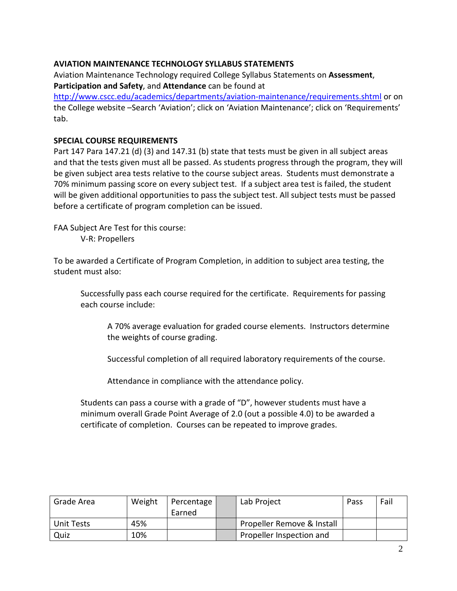# **AVIATION MAINTENANCE TECHNOLOGY SYLLABUS STATEMENTS**

Aviation Maintenance Technology required College Syllabus Statements on **Assessment**, **Participation and Safety**, and **Attendance** can be found at

<http://www.cscc.edu/academics/departments/aviation-maintenance/requirements.shtml> or on the College website –Search 'Aviation'; click on 'Aviation Maintenance'; click on 'Requirements' tab.

### **SPECIAL COURSE REQUIREMENTS**

Part 147 Para 147.21 (d) (3) and 147.31 (b) state that tests must be given in all subject areas and that the tests given must all be passed. As students progress through the program, they will be given subject area tests relative to the course subject areas. Students must demonstrate a 70% minimum passing score on every subject test. If a subject area test is failed, the student will be given additional opportunities to pass the subject test. All subject tests must be passed before a certificate of program completion can be issued.

FAA Subject Are Test for this course: V-R: Propellers

To be awarded a Certificate of Program Completion, in addition to subject area testing, the student must also:

Successfully pass each course required for the certificate. Requirements for passing each course include:

A 70% average evaluation for graded course elements. Instructors determine the weights of course grading.

Successful completion of all required laboratory requirements of the course.

Attendance in compliance with the attendance policy.

Students can pass a course with a grade of "D", however students must have a minimum overall Grade Point Average of 2.0 (out a possible 4.0) to be awarded a certificate of completion. Courses can be repeated to improve grades.

| Grade Area | Weight | Percentage | Lab Project                | Pass | Fail |
|------------|--------|------------|----------------------------|------|------|
|            |        | Earned     |                            |      |      |
| Unit Tests | 45%    |            | Propeller Remove & Install |      |      |
| Quiz       | 10%    |            | Propeller Inspection and   |      |      |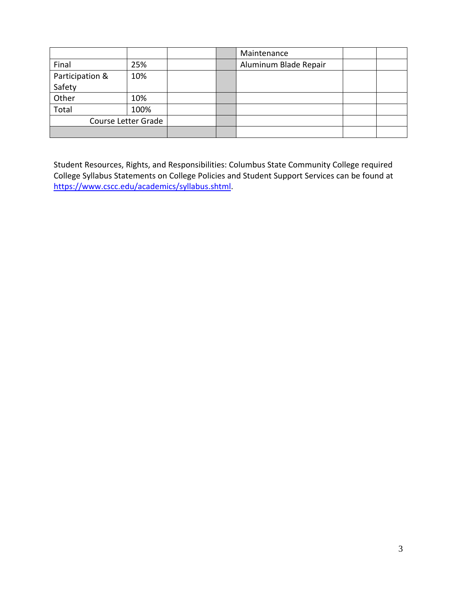|                     |      |  | Maintenance           |  |
|---------------------|------|--|-----------------------|--|
| Final               | 25%  |  | Aluminum Blade Repair |  |
| Participation &     | 10%  |  |                       |  |
| Safety              |      |  |                       |  |
| Other               | 10%  |  |                       |  |
| Total               | 100% |  |                       |  |
| Course Letter Grade |      |  |                       |  |
|                     |      |  |                       |  |

Student Resources, Rights, and Responsibilities: Columbus State Community College required College Syllabus Statements on College Policies and Student Support Services can be found at [https://www.cscc.edu/academics/syllabus.shtml.](https://www.cscc.edu/academics/syllabus.shtml)